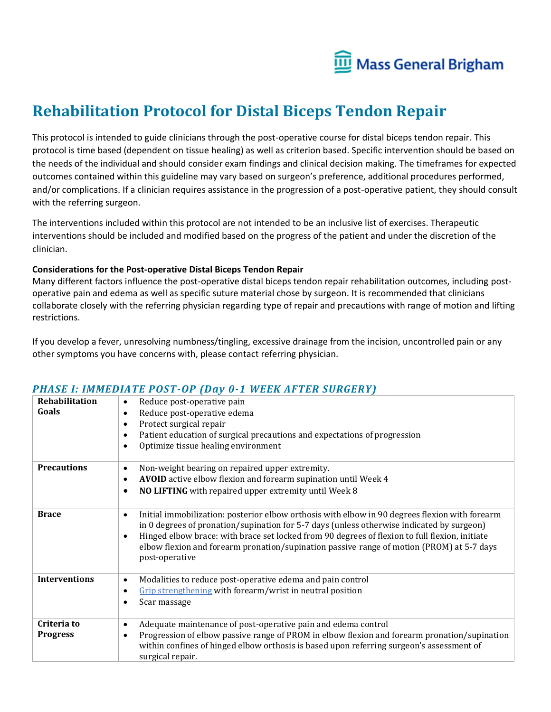

# **Rehabilitation Protocol for Distal Biceps Tendon Repair**

This protocol is intended to guide clinicians through the post-operative course for distal biceps tendon repair. This protocol is time based (dependent on tissue healing) as well as criterion based. Specific intervention should be based on the needs of the individual and should consider exam findings and clinical decision making. The timeframes for expected outcomes contained within this guideline may vary based on surgeon's preference, additional procedures performed, and/or complications. If a clinician requires assistance in the progression of a post-operative patient, they should consult with the referring surgeon.

The interventions included within this protocol are not intended to be an inclusive list of exercises. Therapeutic interventions should be included and modified based on the progress of the patient and under the discretion of the clinician.

#### **Considerations for the Post-operative Distal Biceps Tendon Repair**

Many different factors influence the post-operative distal biceps tendon repair rehabilitation outcomes, including postoperative pain and edema as well as specific suture material chose by surgeon. It is recommended that clinicians collaborate closely with the referring physician regarding type of repair and precautions with range of motion and lifting restrictions.

If you develop a fever, unresolving numbness/tingling, excessive drainage from the incision, uncontrolled pain or any other symptoms you have concerns with, please contact referring physician.

| Rehabilitation<br>Goals        | Reduce post-operative pain<br>$\bullet$<br>Reduce post-operative edema<br>٠<br>Protect surgical repair<br>٠<br>Patient education of surgical precautions and expectations of progression<br>$\bullet$<br>Optimize tissue healing environment<br>$\bullet$                                                                                                                                                                              |
|--------------------------------|----------------------------------------------------------------------------------------------------------------------------------------------------------------------------------------------------------------------------------------------------------------------------------------------------------------------------------------------------------------------------------------------------------------------------------------|
| <b>Precautions</b>             | Non-weight bearing on repaired upper extremity.<br>٠<br>AVOID active elbow flexion and forearm supination until Week 4<br>$\bullet$<br>NO LIFTING with repaired upper extremity until Week 8<br>$\bullet$                                                                                                                                                                                                                              |
| <b>Brace</b>                   | Initial immobilization: posterior elbow orthosis with elbow in 90 degrees flexion with forearm<br>$\bullet$<br>in 0 degrees of pronation/supination for 5-7 days (unless otherwise indicated by surgeon)<br>Hinged elbow brace: with brace set locked from 90 degrees of flexion to full flexion, initiate<br>$\bullet$<br>elbow flexion and forearm pronation/supination passive range of motion (PROM) at 5-7 days<br>post-operative |
| <b>Interventions</b>           | Modalities to reduce post-operative edema and pain control<br>$\bullet$<br>Grip strengthening with forearm/wrist in neutral position<br>$\bullet$<br>Scar massage<br>$\bullet$                                                                                                                                                                                                                                                         |
| Criteria to<br><b>Progress</b> | Adequate maintenance of post-operative pain and edema control<br>$\bullet$<br>Progression of elbow passive range of PROM in elbow flexion and forearm pronation/supination<br>$\bullet$<br>within confines of hinged elbow orthosis is based upon referring surgeon's assessment of<br>surgical repair.                                                                                                                                |

#### *PHASE I: IMMEDIATE POST-OP (Day 0-1 WEEK AFTER SURGERY)*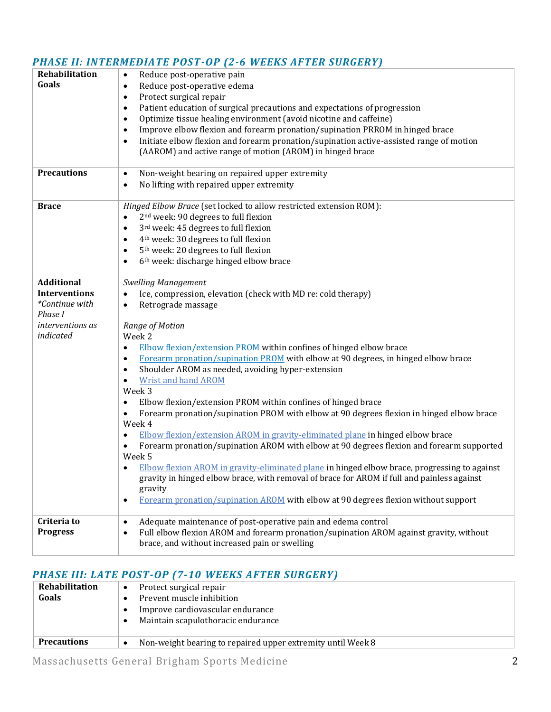| Rehabilitation<br>Goals                                                       | Reduce post-operative pain<br>$\bullet$<br>Reduce post-operative edema<br>$\bullet$<br>Protect surgical repair<br>$\bullet$<br>Patient education of surgical precautions and expectations of progression<br>$\bullet$<br>Optimize tissue healing environment (avoid nicotine and caffeine)<br>$\bullet$<br>Improve elbow flexion and forearm pronation/supination PRROM in hinged brace<br>$\bullet$                                                                                                                                                                                                                                                                                                                                                                                                                                                                                                                                                                                                             |
|-------------------------------------------------------------------------------|------------------------------------------------------------------------------------------------------------------------------------------------------------------------------------------------------------------------------------------------------------------------------------------------------------------------------------------------------------------------------------------------------------------------------------------------------------------------------------------------------------------------------------------------------------------------------------------------------------------------------------------------------------------------------------------------------------------------------------------------------------------------------------------------------------------------------------------------------------------------------------------------------------------------------------------------------------------------------------------------------------------|
|                                                                               | Initiate elbow flexion and forearm pronation/supination active-assisted range of motion<br>$\bullet$<br>(AAROM) and active range of motion (AROM) in hinged brace                                                                                                                                                                                                                                                                                                                                                                                                                                                                                                                                                                                                                                                                                                                                                                                                                                                |
| <b>Precautions</b>                                                            | Non-weight bearing on repaired upper extremity<br>$\bullet$<br>No lifting with repaired upper extremity<br>$\bullet$                                                                                                                                                                                                                                                                                                                                                                                                                                                                                                                                                                                                                                                                                                                                                                                                                                                                                             |
| <b>Brace</b>                                                                  | Hinged Elbow Brace (set locked to allow restricted extension ROM):<br>2 <sup>nd</sup> week: 90 degrees to full flexion<br>$\bullet$<br>3rd week: 45 degrees to full flexion<br>$\bullet$<br>4 <sup>th</sup> week: 30 degrees to full flexion<br>٠<br>5 <sup>th</sup> week: 20 degrees to full flexion<br>$\bullet$<br>6 <sup>th</sup> week: discharge hinged elbow brace<br>$\bullet$                                                                                                                                                                                                                                                                                                                                                                                                                                                                                                                                                                                                                            |
| <b>Additional</b><br><b>Interventions</b><br><i>*Continue with</i><br>Phase I | <b>Swelling Management</b><br>Ice, compression, elevation (check with MD re: cold therapy)<br>$\bullet$<br>Retrograde massage<br>$\bullet$                                                                                                                                                                                                                                                                                                                                                                                                                                                                                                                                                                                                                                                                                                                                                                                                                                                                       |
| <i>interventions as</i><br>indicated                                          | Range of Motion<br>Week 2<br><b>Elbow flexion/extension PROM</b> within confines of hinged elbow brace<br>$\bullet$<br>Forearm pronation/supination PROM with elbow at 90 degrees, in hinged elbow brace<br>٠<br>Shoulder AROM as needed, avoiding hyper-extension<br>$\bullet$<br><b>Wrist and hand AROM</b><br>٠<br>Week 3<br>Elbow flexion/extension PROM within confines of hinged brace<br>$\bullet$<br>Forearm pronation/supination PROM with elbow at 90 degrees flexion in hinged elbow brace<br>Week 4<br>Elbow flexion/extension AROM in gravity-eliminated plane in hinged elbow brace<br>٠<br>Forearm pronation/supination AROM with elbow at 90 degrees flexion and forearm supported<br>Week 5<br>Elbow flexion AROM in gravity-eliminated plane in hinged elbow brace, progressing to against<br>gravity in hinged elbow brace, with removal of brace for AROM if full and painless against<br>gravity<br>Forearm pronation/supination AROM with elbow at 90 degrees flexion without support<br>٠ |
| Criteria to<br><b>Progress</b>                                                | Adequate maintenance of post-operative pain and edema control<br>$\bullet$<br>Full elbow flexion AROM and forearm pronation/supination AROM against gravity, without<br>$\bullet$<br>brace, and without increased pain or swelling                                                                                                                                                                                                                                                                                                                                                                                                                                                                                                                                                                                                                                                                                                                                                                               |

## *PHASE II: INTERMEDIATE POST-OP (2-6 WEEKS AFTER SURGERY)*

### *PHASE III: LATE POST-OP (7-10 WEEKS AFTER SURGERY)*

| Rehabilitation<br>Goals | Protect surgical repair<br>٠                                  |
|-------------------------|---------------------------------------------------------------|
|                         | Prevent muscle inhibition<br>Improve cardiovascular endurance |
|                         | Maintain scapulothoracic endurance                            |
| <b>Precautions</b>      | Non-weight bearing to repaired upper extremity until Week 8   |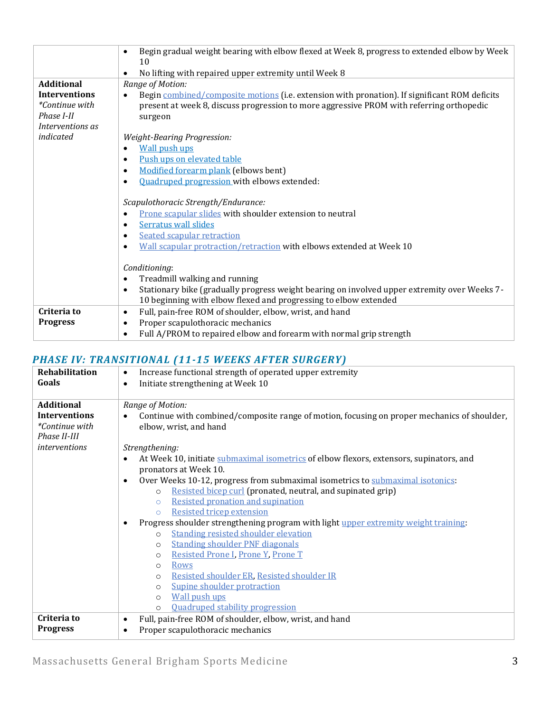|                                                                                               | Begin gradual weight bearing with elbow flexed at Week 8, progress to extended elbow by Week<br>$\bullet$                                                                                                                                                                  |
|-----------------------------------------------------------------------------------------------|----------------------------------------------------------------------------------------------------------------------------------------------------------------------------------------------------------------------------------------------------------------------------|
|                                                                                               | 10<br>No lifting with repaired upper extremity until Week 8                                                                                                                                                                                                                |
| <b>Additional</b><br><b>Interventions</b><br>*Continue with<br>Phase I-II<br>Interventions as | Range of Motion:<br>Begin combined/composite motions (i.e. extension with pronation). If significant ROM deficits<br>$\bullet$<br>present at week 8, discuss progression to more aggressive PROM with referring orthopedic<br>surgeon                                      |
| indicated                                                                                     | Weight-Bearing Progression:<br><b>Wall push ups</b><br>$\bullet$<br>Push ups on elevated table<br>$\bullet$<br>Modified forearm plank (elbows bent)<br>$\bullet$<br><b>Ouadruped progression with elbows extended:</b><br>$\bullet$                                        |
|                                                                                               | Scapulothoracic Strength/Endurance:<br>Prone scapular slides with shoulder extension to neutral<br><b>Serratus wall slides</b><br>٠<br><b>Seated scapular retraction</b><br>$\bullet$<br>Wall scapular protraction/retraction with elbows extended at Week 10<br>$\bullet$ |
|                                                                                               | Conditioning:<br>Treadmill walking and running<br>$\bullet$<br>Stationary bike (gradually progress weight bearing on involved upper extremity over Weeks 7-<br>$\bullet$<br>10 beginning with elbow flexed and progressing to elbow extended                               |
| Criteria to<br><b>Progress</b>                                                                | Full, pain-free ROM of shoulder, elbow, wrist, and hand<br>$\bullet$<br>Proper scapulothoracic mechanics<br>$\bullet$<br>Full A/PROM to repaired elbow and forearm with normal grip strength<br>$\bullet$                                                                  |

### *PHASE IV: TRANSITIONAL (11-15 WEEKS AFTER SURGERY)*

| Rehabilitation<br>Goals                | Increase functional strength of operated upper extremity<br>$\bullet$<br>Initiate strengthening at Week 10<br>$\bullet$            |
|----------------------------------------|------------------------------------------------------------------------------------------------------------------------------------|
| <b>Additional</b>                      | Range of Motion:                                                                                                                   |
| <b>Interventions</b><br>*Continue with | Continue with combined/composite range of motion, focusing on proper mechanics of shoulder,<br>$\bullet$<br>elbow, wrist, and hand |
| Phase II-III                           |                                                                                                                                    |
| interventions                          | Strengthening:                                                                                                                     |
|                                        | At Week 10, initiate submaximal isometrics of elbow flexors, extensors, supinators, and<br>$\bullet$                               |
|                                        | pronators at Week 10.                                                                                                              |
|                                        | Over Weeks 10-12, progress from submaximal isometrics to submaximal isotonics:<br>$\bullet$                                        |
|                                        | Resisted bicep curl (pronated, neutral, and supinated grip)<br>$\circ$                                                             |
|                                        | <b>Resisted pronation and supination</b><br>$\circ$                                                                                |
|                                        | <b>Resisted tricep extension</b><br>$\circ$                                                                                        |
|                                        | Progress shoulder strengthening program with light upper extremity weight training:<br>$\bullet$                                   |
|                                        | <b>Standing resisted shoulder elevation</b><br>$\circ$                                                                             |
|                                        | <b>Standing shoulder PNF diagonals</b><br>$\circ$                                                                                  |
|                                        | Resisted Prone I, Prone Y, Prone T<br>$\circ$                                                                                      |
|                                        | Rows<br>$\circ$                                                                                                                    |
|                                        | Resisted shoulder ER, Resisted shoulder IR<br>$\circ$                                                                              |
|                                        | Supine shoulder protraction<br>$\circ$                                                                                             |
|                                        | <b>Wall push ups</b><br>$\circ$                                                                                                    |
|                                        | <b>Ouadruped stability progression</b><br>$\Omega$                                                                                 |
| Criteria to                            | Full, pain-free ROM of shoulder, elbow, wrist, and hand<br>$\bullet$                                                               |
| <b>Progress</b>                        | Proper scapulothoracic mechanics<br>$\bullet$                                                                                      |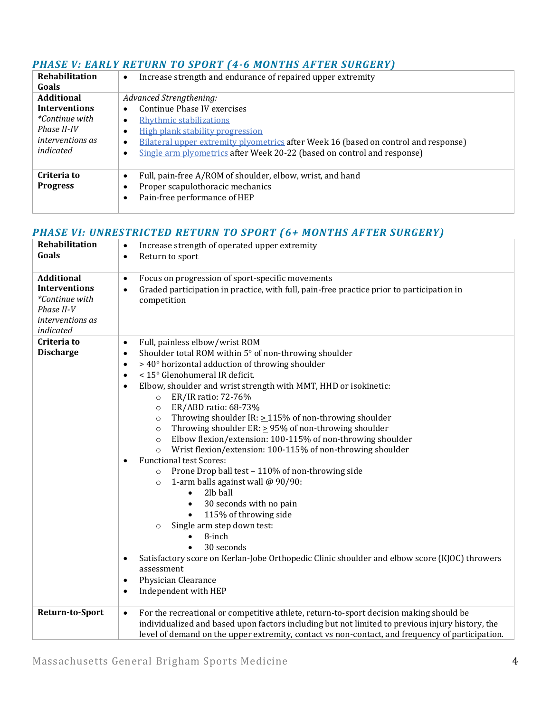#### *PHASE V: EARLY RETURN TO SPORT (4-6 MONTHS AFTER SURGERY)*

| Rehabilitation<br>Goals                                                                                                   | Increase strength and endurance of repaired upper extremity<br>$\bullet$                                                                                                                                                                                                                                                         |
|---------------------------------------------------------------------------------------------------------------------------|----------------------------------------------------------------------------------------------------------------------------------------------------------------------------------------------------------------------------------------------------------------------------------------------------------------------------------|
| <b>Additional</b><br><b>Interventions</b><br><i>*Continue with</i><br>Phase II-IV<br><i>interventions as</i><br>indicated | Advanced Strengthening:<br>Continue Phase IV exercises<br>$\bullet$<br>Rhythmic stabilizations<br>٠<br>High plank stability progression<br>٠<br>Bilateral upper extremity plyometrics after Week 16 (based on control and response)<br>$\bullet$<br>Single arm plyometrics after Week 20-22 (based on control and response)<br>٠ |
| Criteria to<br><b>Progress</b>                                                                                            | Full, pain-free A/ROM of shoulder, elbow, wrist, and hand<br>$\bullet$<br>Proper scapulothoracic mechanics<br>٠<br>Pain-free performance of HEP<br>٠                                                                                                                                                                             |

#### *PHASE VI: UNRESTRICTED RETURN TO SPORT (6+ MONTHS AFTER SURGERY)*

| <b>Rehabilitation</b><br>Goals                                                                             | Increase strength of operated upper extremity<br>$\bullet$<br>Return to sport<br>$\bullet$                                                                                                                                                                                                                                                                                                                                                                                                                                                                                                                                                                                                                                                                                                                                                                                                                                                                                                                                                                                                                                                                                                                                                                   |
|------------------------------------------------------------------------------------------------------------|--------------------------------------------------------------------------------------------------------------------------------------------------------------------------------------------------------------------------------------------------------------------------------------------------------------------------------------------------------------------------------------------------------------------------------------------------------------------------------------------------------------------------------------------------------------------------------------------------------------------------------------------------------------------------------------------------------------------------------------------------------------------------------------------------------------------------------------------------------------------------------------------------------------------------------------------------------------------------------------------------------------------------------------------------------------------------------------------------------------------------------------------------------------------------------------------------------------------------------------------------------------|
| <b>Additional</b><br><b>Interventions</b><br>*Continue with<br>Phase II-V<br>interventions as<br>indicated | Focus on progression of sport-specific movements<br>$\bullet$<br>Graded participation in practice, with full, pain-free practice prior to participation in<br>$\bullet$<br>competition                                                                                                                                                                                                                                                                                                                                                                                                                                                                                                                                                                                                                                                                                                                                                                                                                                                                                                                                                                                                                                                                       |
| Criteria to<br><b>Discharge</b>                                                                            | Full, painless elbow/wrist ROM<br>$\bullet$<br>Shoulder total ROM within 5° of non-throwing shoulder<br>$\bullet$<br>> 40° horizontal adduction of throwing shoulder<br>$\bullet$<br>< 15° Glenohumeral IR deficit.<br>$\bullet$<br>Elbow, shoulder and wrist strength with MMT, HHD or isokinetic:<br>$\bullet$<br>ER/IR ratio: 72-76%<br>$\circ$<br>ER/ABD ratio: 68-73%<br>$\circ$<br>Throwing shoulder IR: $\geq$ 115% of non-throwing shoulder<br>$\circ$<br>Throwing shoulder ER: $\geq$ 95% of non-throwing shoulder<br>$\circ$<br>Elbow flexion/extension: 100-115% of non-throwing shoulder<br>$\circ$<br>Wrist flexion/extension: 100-115% of non-throwing shoulder<br>$\circ$<br><b>Functional test Scores:</b><br>$\bullet$<br>Prone Drop ball test - 110% of non-throwing side<br>$\circ$<br>1-arm balls against wall @ 90/90:<br>$\circ$<br>2lb ball<br>$\bullet$<br>30 seconds with no pain<br>$\bullet$<br>115% of throwing side<br>$\bullet$<br>Single arm step down test:<br>$\circ$<br>8-inch<br>$\bullet$<br>30 seconds<br>$\bullet$<br>Satisfactory score on Kerlan-Jobe Orthopedic Clinic shoulder and elbow score (KJOC) throwers<br>$\bullet$<br>assessment<br>Physician Clearance<br>$\bullet$<br>Independent with HEP<br>$\bullet$ |
| <b>Return-to-Sport</b>                                                                                     | For the recreational or competitive athlete, return-to-sport decision making should be<br>$\bullet$<br>individualized and based upon factors including but not limited to previous injury history, the<br>level of demand on the upper extremity, contact vs non-contact, and frequency of participation.                                                                                                                                                                                                                                                                                                                                                                                                                                                                                                                                                                                                                                                                                                                                                                                                                                                                                                                                                    |